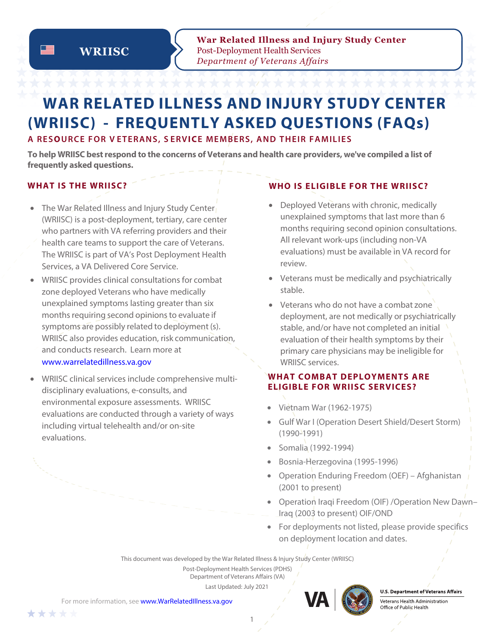

**War Related Illness and Injury Study Center**  Post-Deployment Health Services *Department of Veterans Affairs* War Related Illness and Injury Study Center<br>
Post-Deployment Health Services<br>
Department of Veterans Affairs

# **WAR RELATED ILLNESS AND INJURY STUDY CENTER (WRIISC) - FREQUENTLY ASKED QUESTIONS (FAQs)**

## **A RESOURCE FOR V ETERANS, S ERVI CE MEMBERS, AND TH EIR FAMILIES**

**To help WRIISC best respond to the concerns of Veterans and health care providers, we've compiled a list of frequently asked questions.** 

# **WHAT IS THE WRIISC?**

 $\equiv$ 

- The War Related Illness and Injury Study Center (WRIISC) is a post-deployment, tertiary, care center who partners with VA referring providers and their health care teams to support the care of Veterans. The WRIISC is part of VA's Post Deployment Health Services, a VA Delivered Core Service.
- WRIISC provides clinical consultations for combat zone deployed Veterans who have medically unexplained symptoms lasting greater than six months requiring second opinions to evaluate if symptoms are possibly related to deployment (s). WRIISC also provides education, risk communication, and conducts research. Learn more at <www.warrelatedillness.va.gov>
- WRIISC clinical services include comprehensive multidisciplinary evaluations, e-consults, and environmental exposure assessments. WRIISC evaluations are conducted through a variety of ways including virtual telehealth and/or on-site evaluations.

### **WHO IS ELIGIBLE FOR THE WRIISC?**

- All relevant work-ups (including non-VA • Deployed Veterans with chronic, medically unexplained symptoms that last more than 6 months requiring second opinion consultations. evaluations) must be available in VA record for review.
- Veterans must be medically and psychiatrically stable.
- Veterans who do not have a combat zone deployment, are not medically or psychiatrically stable, and/or have not completed an initial evaluation of their health symptoms by their primary care physicians may be ineligible for WRIISC services.

### **WHAT COMBAT DEPLOYMENTS ARE ELIGIBLE FOR WRIISC SERVICES?**

- Vietnam War (1962-1975)
- Gulf War I (Operation Desert Shield/Desert Storm) (1990-1991)
- Somalia (1992-1994)
- Bosnia-Herzegovina (1995-1996)
- Operation Enduring Freedom (OEF) Afghanistan (2001 to present)
- Operation Iraqi Freedom (OIF) /Operation New Dawn– Iraq (2003 to present) OIF/OND
- For deployments not listed, please provide specifics on deployment location and dates.

This document was developed by the War Related Illness & Injury Study Center (WRIISC)

Post-Deployment Health Services (PDHS) Department of Veterans Affairs (VA) Last Updated: July 2021



Veterans Health Administration

Office of Public Health

For more information, see <www.WarRelatedIllness.va.gov>

1